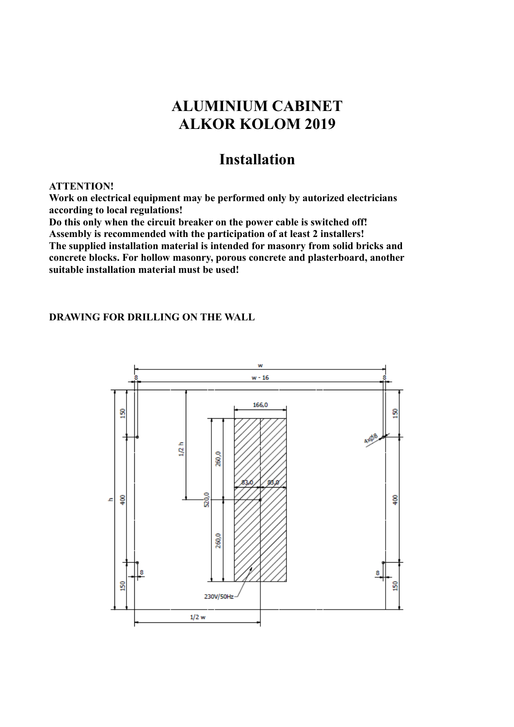## **ALUMINIUM CABINET ALKOR KOLOM 2019**

## **Installation**

## **ATTENTION!**

**Work on electrical equipment may be performed only by autorized electricians according to local regulations!**

**Do this only when the circuit breaker on the power cable is switched off! Assembly is recommended with the participation of at least 2 installers!**

**The supplied installation material is intended for masonry from solid bricks and concrete blocks. For hollow masonry, porous concrete and plasterboard, another suitable installation material must be used!**

## **DRAWING FOR DRILLING ON THE WALL**